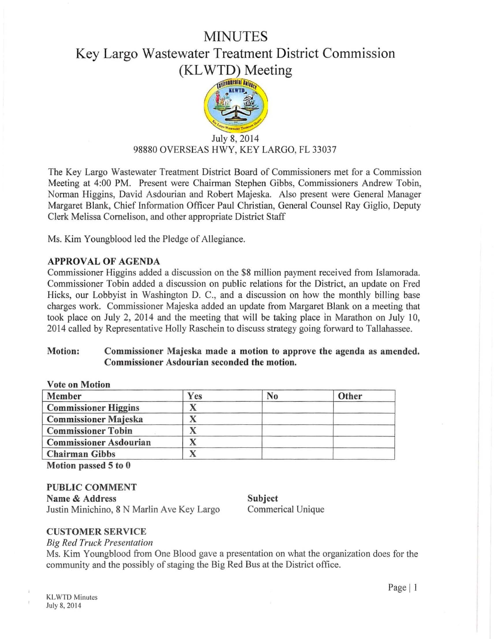## MINUTES

# Key Largo Wastewater Treatment District Commission (KL WTD) Meeting



### July 8, 2014 98880 OVERSEAS HWY, KEY LARGO, FL 33037

The Key Largo Wastewater Treatment District Board of Commissioners met for a Commission Meeting at 4:00 PM. Present were Chairman Stephen Gibbs, Commissioners Andrew Tobin, Norman Higgins, David Asdourian and Robert Majeska. Also present were General Manager Margaret Blank, Chief [nformation Officer Paul Christian, General Counsel Ray Giglio, Deputy Clerk Melissa Cornelison, and other appropriate District Staff

Ms. Kim Youngblood led the Pledge of Allegiance.

### APPROVAL OF AGENDA

Commissioner Higgins added a discussion on the \$8 million payment received from Islamorada. Commissioner Tobin added a discussion on public relations for the District, an update on Fred Hicks, our Lobbyist in Washington D. C., and a discussion on how the monthly billing base charges work. Commissioner Majeska added an update from Margaret Blank on a meeting that took place on July 2, 2014 and the meeting that will be taking place in Marathon on July 10, 2014 called by Representative Holly Raschein to discuss strategy going forward to Tallahassee.

#### Motion: Commissioner Majeska made a motion to approve the agenda as amended. Commissioner Asdourian seconded the motion.

| <b>Vote on Motion</b>         |     |                |       |
|-------------------------------|-----|----------------|-------|
| Member                        | Yes | N <sub>0</sub> | Other |
| <b>Commissioner Higgins</b>   |     |                |       |
| <b>Commissioner Majeska</b>   |     |                |       |
| <b>Commissioner Tobin</b>     |     |                |       |
| <b>Commissioner Asdourian</b> |     |                |       |
| <b>Chairman Gibbs</b>         |     |                |       |
|                               |     |                |       |

Motion passed 5 to 0

PUBLIC COMMENT Name & Address Justin Minichino, 8 N Marlin Ave Key Largo

Subject Commerical Unique

#### CUSTOMER SERVICE

*Big Red Truck Presentation* 

Ms. Kim Youngblood from One Blood gave a presentation on what the organization does for the community and the possibly of staging the Big Red Bus at the District office.

Page  $|1$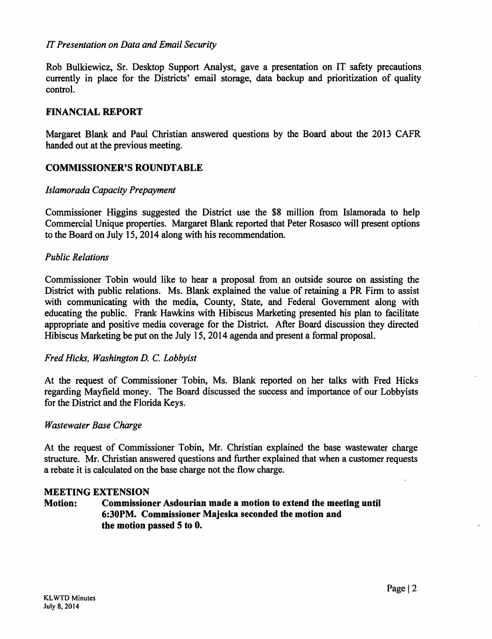#### *IT Presentation on Data and Email Security*

Rob Bulkiewicz, Sr. Desktop Support Analyst, gave a presentation on IT safety precautions currently in place for the Districts' email storage, data backup and prioritization of quality control.

#### FINANCIAL REPORT

Margaret Blank and Paul Christian answered questions by the Board about the 2013 CAFR handed out at the previous meeting.

#### **COMMISSIONER'S ROUNDTABLE**

#### */slamorada Capacity Prepayment*

Commissioner Higgins suggested the District use the \$8 million from lslamorada to help Commercial Unique properties. Margaret Blank reported that Peter Rosasco will present options to the Board on July 15, 2014 along with his recommendation.

#### *Public Relations*

Commissioner Tobin would like to hear a proposal from an outside source on assisting the District with public relations. Ms. Blank explained the value of retaining a PR Firm to assist with communicating with the media, County, State, and Federal Government along with educating the public. Frank Hawkins with Hibiscus Marketing presented his plan to facilitate appropriate and positive media coverage for the District. After Board discussion they directed Hibiscus Marketing be put on the July 15, 2014 agenda and present a formal proposal.

#### *Fred Hicks, Washington D.* C. *Lobbyist*

At the request of Commissioner Tobin, Ms. Blank reported on her talks with Fred Hicks regarding Mayfield money. The Board discussed the success and importance of our Lobbyists for the District and the Florida Keys.

#### *Wastewater Base Charge*

At the request of Commissioner Tobin, Mr. Christian explained the base wastewater charge structure. Mr. Christian answered questions and further explained that when a customer requests a rebate it is calculated on the base charge not the flow charge.

#### MEETING EXTENSION

#### Motion: Commissioner Asdourian made a motion to extend the meeting until 6:30PM. Commissioner Majeska seconded the motion and the motion passed 5 to 0.